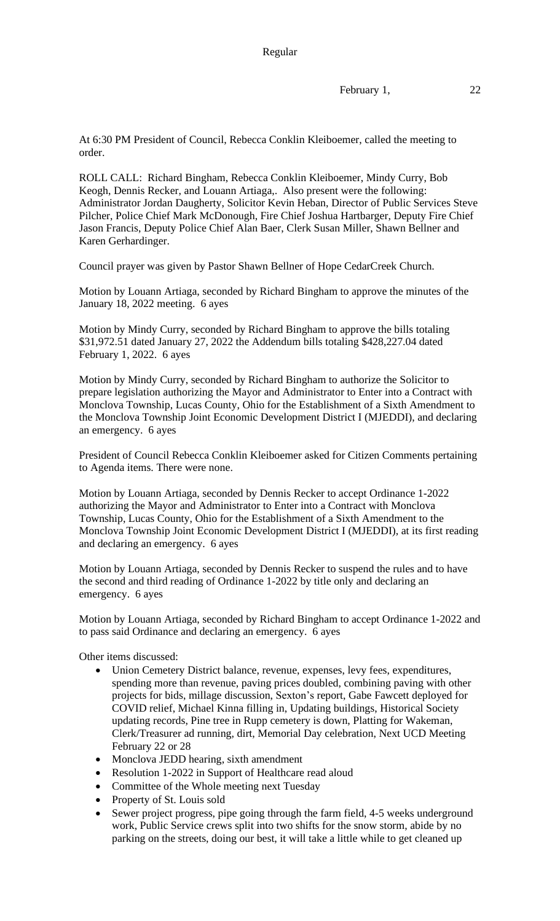February 1, 22

At 6:30 PM President of Council, Rebecca Conklin Kleiboemer, called the meeting to order.

ROLL CALL: Richard Bingham, Rebecca Conklin Kleiboemer, Mindy Curry, Bob Keogh, Dennis Recker, and Louann Artiaga,. Also present were the following: Administrator Jordan Daugherty, Solicitor Kevin Heban, Director of Public Services Steve Pilcher, Police Chief Mark McDonough, Fire Chief Joshua Hartbarger, Deputy Fire Chief Jason Francis, Deputy Police Chief Alan Baer, Clerk Susan Miller, Shawn Bellner and Karen Gerhardinger.

Council prayer was given by Pastor Shawn Bellner of Hope CedarCreek Church.

Motion by Louann Artiaga, seconded by Richard Bingham to approve the minutes of the January 18, 2022 meeting. 6 ayes

Motion by Mindy Curry, seconded by Richard Bingham to approve the bills totaling \$31,972.51 dated January 27, 2022 the Addendum bills totaling \$428,227.04 dated February 1, 2022. 6 ayes

Motion by Mindy Curry, seconded by Richard Bingham to authorize the Solicitor to prepare legislation authorizing the Mayor and Administrator to Enter into a Contract with Monclova Township, Lucas County, Ohio for the Establishment of a Sixth Amendment to the Monclova Township Joint Economic Development District I (MJEDDI), and declaring an emergency. 6 ayes

President of Council Rebecca Conklin Kleiboemer asked for Citizen Comments pertaining to Agenda items. There were none.

Motion by Louann Artiaga, seconded by Dennis Recker to accept Ordinance 1-2022 authorizing the Mayor and Administrator to Enter into a Contract with Monclova Township, Lucas County, Ohio for the Establishment of a Sixth Amendment to the Monclova Township Joint Economic Development District I (MJEDDI), at its first reading and declaring an emergency. 6 ayes

Motion by Louann Artiaga, seconded by Dennis Recker to suspend the rules and to have the second and third reading of Ordinance 1-2022 by title only and declaring an emergency. 6 ayes

Motion by Louann Artiaga, seconded by Richard Bingham to accept Ordinance 1-2022 and to pass said Ordinance and declaring an emergency. 6 ayes

Other items discussed:

- Union Cemetery District balance, revenue, expenses, levy fees, expenditures, spending more than revenue, paving prices doubled, combining paving with other projects for bids, millage discussion, Sexton's report, Gabe Fawcett deployed for COVID relief, Michael Kinna filling in, Updating buildings, Historical Society updating records, Pine tree in Rupp cemetery is down, Platting for Wakeman, Clerk/Treasurer ad running, dirt, Memorial Day celebration, Next UCD Meeting February 22 or 28
- Monclova JEDD hearing, sixth amendment
- Resolution 1-2022 in Support of Healthcare read aloud
- Committee of the Whole meeting next Tuesday
- Property of St. Louis sold
- Sewer project progress, pipe going through the farm field, 4-5 weeks underground work, Public Service crews split into two shifts for the snow storm, abide by no parking on the streets, doing our best, it will take a little while to get cleaned up